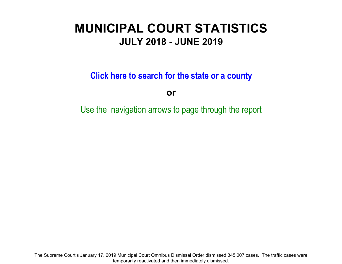# **MUNICIPAL COURT STATISTICS JULY 2018 - JUNE 2019**

**Click here to search for the state or a count y**

**or**

Use the navigation arrows to page through the report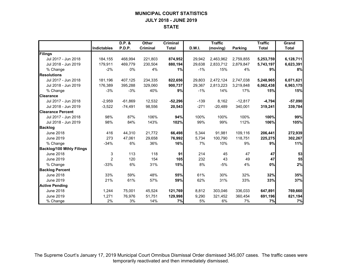## **MUNICIPAL COURT STATISTICS JULY 2018 - JUNE 2019 STATE**

|                                  |                    | D.P. &    | Other           | <b>Criminal</b> |               | <b>Traffic</b> |                | <b>Traffic</b> | Grand        |
|----------------------------------|--------------------|-----------|-----------------|-----------------|---------------|----------------|----------------|----------------|--------------|
|                                  | <b>Indictables</b> | P.D.P.    | <b>Criminal</b> | <b>Total</b>    | <b>D.W.I.</b> | (moving)       | <b>Parking</b> | <b>Total</b>   | <b>Total</b> |
| Filings                          |                    |           |                 |                 |               |                |                |                |              |
| Jul 2017 - Jun 2018              | 184,155            | 468,994   | 221,803         | 874,952         | 29,942        | 2,463,962      | 2,759,855      | 5,253,759      | 6,128,711    |
| Jul 2018 - Jun 2019              | 179,911            | 469,779   | 230,504         | 880,194         | 29,638        | 2,833,712      | 2,879,847      | 5,743,197      | 6,623,391    |
| % Change                         | $-2%$              | 0%        | 4%              | 1%              | $-1%$         | 15%            | 4%             | 9%             | 8%           |
| <b>Resolutions</b>               |                    |           |                 |                 |               |                |                |                |              |
| Jul 2017 - Jun 2018              | 181.196            | 407,125   | 234,335         | 822.656         | 29,803        | 2,472,124      | 2,747,038      | 5,248,965      | 6,071,621    |
| Jul 2018 - Jun 2019              | 176,389            | 395,288   | 329,060         | 900,737         | 29,367        | 2,813,223      | 3,219,848      | 6,062,438      | 6,963,175    |
| % Change                         | $-3%$              | $-3%$     | 40%             | 9%              | $-1%$         | 14%            | 17%            | 15%            | 15%          |
| <b>Clearance</b>                 |                    |           |                 |                 |               |                |                |                |              |
| Jul 2017 - Jun 2018              | $-2,959$           | $-61,869$ | 12,532          | $-52,296$       | $-139$        | 8,162          | $-12,817$      | $-4,794$       | $-57,090$    |
| Jul 2018 - Jun 2019              | $-3,522$           | $-74,491$ | 98,556          | 20,543          | $-271$        | $-20,489$      | 340,001        | 319,241        | 339,784      |
| <b>Clearance Percent</b>         |                    |           |                 |                 |               |                |                |                |              |
| Jul 2017 - Jun 2018              | 98%                | 87%       | 106%            | 94%             | 100%          | 100%           | 100%           | 100%           | 99%          |
| Jul 2018 - Jun 2019              | 98%                | 84%       | 143%            | 102%            | 99%           | 99%            | 112%           | 106%           | 105%         |
| <b>Backlog</b>                   |                    |           |                 |                 |               |                |                |                |              |
| <b>June 2018</b>                 | 416                | 44,310    | 21,772          | 66,498          | 5,344         | 91,981         | 109,116        | 206,441        | 272,939      |
| June 2019                        | 273                | 47,061    | 29,658          | 76,992          | 5,734         | 100,790        | 118,751        | 225,275        | 302,267      |
| % Change                         | $-34%$             | 6%        | 36%             | 16%             | 7%            | 10%            | 9%             | 9%             | 11%          |
| <b>Backlog/100 Mthly Filings</b> |                    |           |                 |                 |               |                |                |                |              |
| <b>June 2018</b>                 | $\sqrt{3}$         | 113       | 118             | 91              | 214           | 45             | 47             | 47             | 53           |
| <b>June 2019</b>                 | $\overline{2}$     | 120       | 154             | 105             | 232           | 43             | 49             | 47             | 55           |
| % Change                         | $-33%$             | 6%        | 31%             | 15%             | 8%            | $-5%$          | 4%             | 0%             | 2%           |
| <b>Backlog Percent</b>           |                    |           |                 |                 |               |                |                |                |              |
| <b>June 2018</b>                 | 33%                | 59%       | 48%             | 55%             | 61%           | 30%            | 32%            | 32%            | 35%          |
| <b>June 2019</b>                 | 21%                | 61%       | 57%             | 59%             | 62%           | 31%            | 33%            | 33%            | 37%          |
| <b>Active Pending</b>            |                    |           |                 |                 |               |                |                |                |              |
| <b>June 2018</b>                 | 1,244              | 75,001    | 45,524          | 121,769         | 8,812         | 303,046        | 336,033        | 647,891        | 769,660      |
| <b>June 2019</b>                 | 1,271              | 76,976    | 51,751          | 129,998         | 9,290         | 321,452        | 360,454        | 691,196        | 821,194      |
| % Change                         | 2%                 | 3%        | 14%             | 7%              | 5%            | 6%             | 7%             | 7%             | 7%           |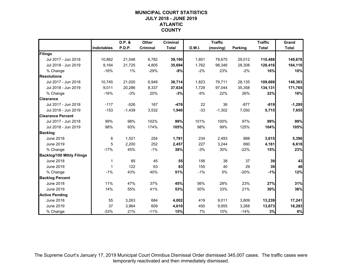### **MUNICIPAL COURT STATISTICSJULY 2018 - JUNE 2019ATLANTIC COUNTY**

|                                  |                    | D.P. &   | <b>Other</b>    | <b>Criminal</b> |        | <b>Traffic</b> |                | <b>Traffic</b> | Grand        |
|----------------------------------|--------------------|----------|-----------------|-----------------|--------|----------------|----------------|----------------|--------------|
|                                  | <b>Indictables</b> | P.D.P.   | <b>Criminal</b> | <b>Total</b>    | D.W.I. | (moving)       | <b>Parking</b> | <b>Total</b>   | <b>Total</b> |
| Filings                          |                    |          |                 |                 |        |                |                |                |              |
| Jul 2017 - Jun 2018              | 10,862             | 21,546   | 6,782           | 39,190          | 1,801  | 79,675         | 29,012         | 110,488        | 149,678      |
| Jul 2018 - Jun 2019              | 9,164              | 21,725   | 4,805           | 35,694          | 1,762  | 98,346         | 28,308         | 128,416        | 164,110      |
| % Change                         | $-16%$             | 1%       | $-29%$          | $-9%$           | $-2%$  | 23%            | $-2%$          | 16%            | 10%          |
| <b>Resolutions</b>               |                    |          |                 |                 |        |                |                |                |              |
| Jul 2017 - Jun 2018              | 10,745             | 21,020   | 6,949           | 38,714          | 1,823  | 79,711         | 28,135         | 109,669        | 148,383      |
| Jul 2018 - Jun 2019              | 9,011              | 20,286   | 8,337           | 37,634          | 1,729  | 97,044         | 35,358         | 134,131        | 171,765      |
| % Change                         | $-16%$             | $-3%$    | 20%             | $-3%$           | $-5%$  | 22%            | 26%            | 22%            | 16%          |
| <b>Clearance</b>                 |                    |          |                 |                 |        |                |                |                |              |
| Jul 2017 - Jun 2018              | $-117$             | $-526$   | 167             | $-476$          | 22     | 36             | $-877$         | $-819$         | $-1,295$     |
| Jul 2018 - Jun 2019              | $-153$             | $-1,439$ | 3,532           | 1,940           | $-33$  | $-1,302$       | 7,050          | 5,715          | 7,655        |
| <b>Clearance Percent</b>         |                    |          |                 |                 |        |                |                |                |              |
| Jul 2017 - Jun 2018              | 99%                | 98%      | 102%            | 99%             | 101%   | 100%           | 97%            | 99%            | 99%          |
| Jul 2018 - Jun 2019              | 98%                | 93%      | 174%            | 105%            | 98%    | 99%            | 125%           | 104%           | 105%         |
| <b>Backlog</b>                   |                    |          |                 |                 |        |                |                |                |              |
| <b>June 2018</b>                 | 6                  | 1,521    | 254             | 1,781           | 234    | 2,493          | 888            | 3,615          | 5,396        |
| <b>June 2019</b>                 | 5                  | 2,200    | 252             | 2,457           | 227    | 3,244          | 690            | 4,161          | 6,618        |
| % Change                         | $-17%$             | 45%      | $-1%$           | 38%             | $-3%$  | 30%            | $-22%$         | 15%            | 23%          |
| <b>Backlog/100 Mthly Filings</b> |                    |          |                 |                 |        |                |                |                |              |
| <b>June 2018</b>                 | $\mathbf{1}$       | 85       | 45              | 55              | 156    | 38             | 37             | 39             | 43           |
| <b>June 2019</b>                 | $\mathbf 1$        | 122      | 63              | 83              | 155    | 40             | 29             | 39             | 48           |
| % Change                         | $-1%$              | 43%      | 40%             | 51%             | $-1%$  | 5%             | $-20%$         | $-1%$          | 12%          |
| <b>Backlog Percent</b>           |                    |          |                 |                 |        |                |                |                |              |
| <b>June 2018</b>                 | 11%                | 47%      | 37%             | 45%             | 56%    | 28%            | 23%            | 27%            | 31%          |
| <b>June 2019</b>                 | 14%                | 55%      | 41%             | 53%             | 50%    | 33%            | 21%            | 30%            | 36%          |
| <b>Active Pending</b>            |                    |          |                 |                 |        |                |                |                |              |
| <b>June 2018</b>                 | 55                 | 3,263    | 684             | 4,002           | 419    | 9,011          | 3,809          | 13,239         | 17,241       |
| <b>June 2019</b>                 | 37                 | 3,964    | 609             | 4,610           | 450    | 9,955          | 3,268          | 13,673         | 18,283       |
| % Change                         | $-33%$             | 21%      | $-11%$          | 15%             | 7%     | 10%            | $-14%$         | 3%             | 6%           |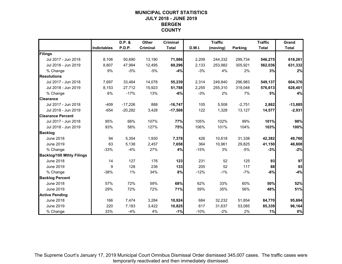### **MUNICIPAL COURT STATISTICSJULY 2018 - JUNE 2019BERGENCOUNTY**

|                                  |                    | D.P. &    | <b>Other</b>    | <b>Criminal</b> |        | <b>Traffic</b> |                | <b>Traffic</b> | Grand        |
|----------------------------------|--------------------|-----------|-----------------|-----------------|--------|----------------|----------------|----------------|--------------|
|                                  | <b>Indictables</b> | P.D.P.    | <b>Criminal</b> | <b>Total</b>    | D.W.I. | (moving)       | <b>Parking</b> | <b>Total</b>   | <b>Total</b> |
| Filings                          |                    |           |                 |                 |        |                |                |                |              |
| Jul 2017 - Jun 2018              | 8,106              | 50,690    | 13,190          | 71,986          | 2,209  | 244,332        | 299,734        | 546,275        | 618,261      |
| Jul 2018 - Jun 2019              | 8.807              | 47.994    | 12,495          | 69,296          | 2.133  | 253.982        | 305.921        | 562,036        | 631,332      |
| % Change                         | 9%                 | $-5%$     | $-5%$           | $-4%$           | $-3%$  | 4%             | 2%             | 3%             | 2%           |
| <b>Resolutions</b>               |                    |           |                 |                 |        |                |                |                |              |
| Jul 2017 - Jun 2018              | 7,697              | 33,464    | 14,078          | 55,239          | 2,314  | 249,840        | 296,983        | 549,137        | 604,376      |
| Jul 2018 - Jun 2019              | 8,153              | 27,712    | 15,923          | 51,788          | 2,255  | 255,310        | 319,048        | 576,613        | 628,401      |
| % Change                         | 6%                 | $-17%$    | 13%             | $-6%$           | $-3%$  | 2%             | 7%             | 5%             | 4%           |
| <b>Clearance</b>                 |                    |           |                 |                 |        |                |                |                |              |
| Jul 2017 - Jun 2018              | $-409$             | $-17,226$ | 888             | $-16,747$       | 105    | 5,508          | $-2,751$       | 2,862          | $-13,885$    |
| Jul 2018 - Jun 2019              | $-654$             | $-20,282$ | 3,428           | $-17,508$       | 122    | 1,328          | 13,127         | 14,577         | $-2,931$     |
| <b>Clearance Percent</b>         |                    |           |                 |                 |        |                |                |                |              |
| Jul 2017 - Jun 2018              | 95%                | 66%       | 107%            | 77%             | 105%   | 102%           | 99%            | 101%           | 98%          |
| Jul 2018 - Jun 2019              | 93%                | 58%       | 127%            | 75%             | 106%   | 101%           | 104%           | 103%           | 100%         |
| <b>Backlog</b>                   |                    |           |                 |                 |        |                |                |                |              |
| <b>June 2018</b>                 | 94                 | 5,354     | 1,930           | 7,378           | 426    | 10,618         | 31,338         | 42,382         | 49,760       |
| <b>June 2019</b>                 | 63                 | 5,138     | 2,457           | 7,658           | 364    | 10,961         | 29,825         | 41,150         | 48,808       |
| % Change                         | $-33%$             | $-4%$     | 27%             | 4%              | $-15%$ | 3%             | $-5%$          | $-3%$          | $-2%$        |
| <b>Backlog/100 Mthly Filings</b> |                    |           |                 |                 |        |                |                |                |              |
| <b>June 2018</b>                 | 14                 | 127       | 176             | 123             | 231    | 52             | 125            | 93             | 97           |
| <b>June 2019</b>                 | 9                  | 128       | 236             | 133             | 205    | 52             | 117            | 88             | 93           |
| % Change                         | $-38%$             | 1%        | 34%             | 8%              | $-12%$ | $-1%$          | $-7%$          | $-6%$          | $-4%$        |
| <b>Backlog Percent</b>           |                    |           |                 |                 |        |                |                |                |              |
| <b>June 2018</b>                 | 57%                | 72%       | 59%             | 68%             | 62%    | 33%            | 60%            | 50%            | 52%          |
| <b>June 2019</b>                 | 29%                | 72%       | 72%             | 71%             | 59%    | 35%            | 56%            | 48%            | 51%          |
| <b>Active Pending</b>            |                    |           |                 |                 |        |                |                |                |              |
| <b>June 2018</b>                 | 166                | 7,474     | 3,284           | 10,924          | 684    | 32,232         | 51,854         | 84,770         | 95,694       |
| <b>June 2019</b>                 | 220                | 7,183     | 3,422           | 10,825          | 617    | 31,637         | 53,085         | 85,339         | 96,164       |
| % Change                         | 33%                | $-4%$     | 4%              | $-1%$           | $-10%$ | $-2%$          | 2%             | 1%             | 0%           |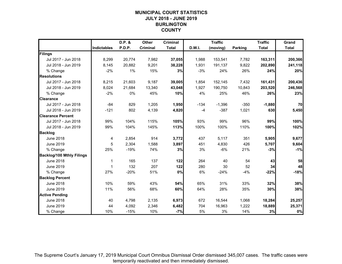### **MUNICIPAL COURT STATISTICSJULY 2018 - JUNE 2019BURLINGTON COUNTY**

|                                  |                    | D.P. & | <b>Other</b>    | <b>Criminal</b> |        | <b>Traffic</b> |                | <b>Traffic</b> | Grand        |
|----------------------------------|--------------------|--------|-----------------|-----------------|--------|----------------|----------------|----------------|--------------|
|                                  | <b>Indictables</b> | P.D.P. | <b>Criminal</b> | <b>Total</b>    | D.W.I. | (moving)       | <b>Parking</b> | <b>Total</b>   | <b>Total</b> |
| Filings                          |                    |        |                 |                 |        |                |                |                |              |
| Jul 2017 - Jun 2018              | 8,299              | 20,774 | 7,982           | 37,055          | 1,988  | 153,541        | 7,782          | 163,311        | 200,366      |
| Jul 2018 - Jun 2019              | 8,145              | 20.882 | 9,201           | 38,228          | 1,931  | 191,137        | 9,822          | 202,890        | 241,118      |
| % Change                         | $-2%$              | 1%     | 15%             | 3%              | $-3%$  | 24%            | 26%            | 24%            | 20%          |
| <b>Resolutions</b>               |                    |        |                 |                 |        |                |                |                |              |
| Jul 2017 - Jun 2018              | 8,215              | 21,603 | 9,187           | 39,005          | 1,854  | 152,145        | 7,432          | 161,431        | 200,436      |
| Jul 2018 - Jun 2019              | 8,024              | 21,684 | 13,340          | 43,048          | 1,927  | 190,750        | 10,843         | 203,520        | 246,568      |
| % Change                         | $-2%$              | 0%     | 45%             | 10%             | 4%     | 25%            | 46%            | 26%            | 23%          |
| <b>Clearance</b>                 |                    |        |                 |                 |        |                |                |                |              |
| Jul 2017 - Jun 2018              | $-84$              | 829    | 1,205           | 1,950           | $-134$ | $-1,396$       | $-350$         | $-1,880$       | 70           |
| Jul 2018 - Jun 2019              | $-121$             | 802    | 4,139           | 4,820           | $-4$   | $-387$         | 1,021          | 630            | 5,450        |
| <b>Clearance Percent</b>         |                    |        |                 |                 |        |                |                |                |              |
| Jul 2017 - Jun 2018              | 99%                | 104%   | 115%            | 105%            | 93%    | 99%            | 96%            | 99%            | 100%         |
| Jul 2018 - Jun 2019              | 99%                | 104%   | 145%            | 113%            | 100%   | 100%           | 110%           | 100%           | 102%         |
| <b>Backlog</b>                   |                    |        |                 |                 |        |                |                |                |              |
| <b>June 2018</b>                 | 4                  | 2,854  | 914             | 3,772           | 437    | 5,117          | 351            | 5,905          | 9,677        |
| June 2019                        | 5                  | 2,304  | 1,588           | 3,897           | 451    | 4,830          | 426            | 5,707          | 9,604        |
| % Change                         | 25%                | $-19%$ | 74%             | 3%              | 3%     | $-6%$          | 21%            | $-3%$          | $-1%$        |
| <b>Backlog/100 Mthly Filings</b> |                    |        |                 |                 |        |                |                |                |              |
| <b>June 2018</b>                 | 1                  | 165    | 137             | 122             | 264    | 40             | 54             | 43             | 58           |
| <b>June 2019</b>                 | 1                  | 132    | 207             | 122             | 280    | 30             | 52             | 34             | 48           |
| % Change                         | 27%                | $-20%$ | 51%             | 0%              | 6%     | $-24%$         | $-4%$          | $-22%$         | $-18%$       |
| <b>Backlog Percent</b>           |                    |        |                 |                 |        |                |                |                |              |
| <b>June 2018</b>                 | 10%                | 59%    | 43%             | 54%             | 65%    | 31%            | 33%            | 32%            | 38%          |
| <b>June 2019</b>                 | 11%                | 56%    | 68%             | 60%             | 64%    | 28%            | 35%            | 30%            | 38%          |
| <b>Active Pending</b>            |                    |        |                 |                 |        |                |                |                |              |
| <b>June 2018</b>                 | 40                 | 4,798  | 2,135           | 6,973           | 672    | 16,544         | 1,068          | 18,284         | 25,257       |
| <b>June 2019</b>                 | 44                 | 4,092  | 2,346           | 6,482           | 704    | 16,963         | 1,222          | 18,889         | 25,371       |
| % Change                         | 10%                | $-15%$ | 10%             | $-7%$           | 5%     | 3%             | 14%            | 3%             | 0%           |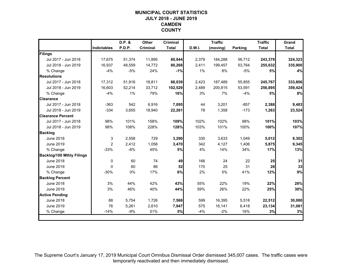### **MUNICIPAL COURT STATISTICSJULY 2018 - JUNE 2019CAMDENCOUNTY**

|                                  |             | D.P. & | Other<br><b>Traffic</b><br><b>Criminal</b> |              |        |          |         | <b>Traffic</b> | Grand        |
|----------------------------------|-------------|--------|--------------------------------------------|--------------|--------|----------|---------|----------------|--------------|
|                                  | Indictables | P.D.P. | <b>Criminal</b>                            | <b>Total</b> | D.W.I. | (moving) | Parking | <b>Total</b>   | <b>Total</b> |
| Filings                          |             |        |                                            |              |        |          |         |                |              |
| Jul 2017 - Jun 2018              | 17.675      | 51.374 | 11.895                                     | 80,944       | 2,379  | 184,288  | 56,712  | 243,379        | 324,323      |
| Jul 2018 - Jun 2019              | 16,937      | 48,559 | 14,772                                     | 80,268       | 2,411  | 199,457  | 53,764  | 255,632        | 335,900      |
| % Change                         | $-4%$       | $-5%$  | 24%                                        | $-1%$        | 1%     | 8%       | $-5%$   | 5%             | 4%           |
| <b>Resolutions</b>               |             |        |                                            |              |        |          |         |                |              |
| Jul 2017 - Jun 2018              | 17,312      | 51,916 | 18,811                                     | 88,039       | 2,423  | 187,489  | 55,855  | 245,767        | 333,806      |
| Jul 2018 - Jun 2019              | 16,603      | 52,214 | 33,712                                     | 102,529      | 2,489  | 200,815  | 53,591  | 256,895        | 359,424      |
| % Change                         | $-4%$       | 1%     | 79%                                        | 16%          | 3%     | 7%       | $-4%$   | <b>5%</b>      | 8%           |
| <b>Clearance</b>                 |             |        |                                            |              |        |          |         |                |              |
| Jul 2017 - Jun 2018              | $-363$      | 542    | 6,916                                      | 7,095        | 44     | 3,201    | $-857$  | 2,388          | 9,483        |
| Jul 2018 - Jun 2019              | $-334$      | 3,655  | 18,940                                     | 22,261       | 78     | 1,358    | $-173$  | 1,263          | 23,524       |
| <b>Clearance Percent</b>         |             |        |                                            |              |        |          |         |                |              |
| Jul 2017 - Jun 2018              | 98%         | 101%   | 158%                                       | 109%         | 102%   | 102%     | 98%     | 101%           | 103%         |
| Jul 2018 - Jun 2019              | 98%         | 108%   | 228%                                       | 128%         | 103%   | 101%     | 100%    | 100%           | 107%         |
| <b>Backlog</b>                   |             |        |                                            |              |        |          |         |                |              |
| <b>June 2018</b>                 | 3           | 2,558  | 729                                        | 3,290        | 330    | 3,633    | 1,049   | 5,012          | 8,302        |
| <b>June 2019</b>                 | 2           | 2,412  | 1,056                                      | 3,470        | 342    | 4,127    | 1,406   | 5,875          | 9,345        |
| % Change                         | $-33%$      | $-6%$  | 45%                                        | 5%           | 4%     | 14%      | 34%     | 17%            | 13%          |
| <b>Backlog/100 Mthly Filings</b> |             |        |                                            |              |        |          |         |                |              |
| <b>June 2018</b>                 | $\mathbf 0$ | 60     | 74                                         | 49           | 166    | 24       | 22      | 25             | 31           |
| <b>June 2019</b>                 | $\Omega$    | 60     | 86                                         | 52           | 170    | 25       | 31      | 28             | 33           |
| % Change                         | $-30%$      | 0%     | 17%                                        | 6%           | 2%     | 5%       | 41%     | 12%            | 9%           |
| <b>Backlog Percent</b>           |             |        |                                            |              |        |          |         |                |              |
| <b>June 2018</b>                 | 3%          | 44%    | 42%                                        | 43%          | 55%    | 22%      | 19%     | 22%            | 28%          |
| <b>June 2019</b>                 | 3%          | 46%    | 40%                                        | 44%          | 59%    | 26%      | 22%     | 25%            | 30%          |
| <b>Active Pending</b>            |             |        |                                            |              |        |          |         |                |              |
| <b>June 2018</b>                 | 88          | 5,754  | 1,726                                      | 7,568        | 599    | 16,395   | 5,518   | 22,512         | 30,080       |
| <b>June 2019</b>                 | 76          | 5,261  | 2,610                                      | 7,947        | 575    | 16,141   | 6,418   | 23,134         | 31,081       |
| % Change                         | $-14%$      | $-9%$  | 51%                                        | 5%           | $-4%$  | $-2%$    | 16%     | 3%             | 3%           |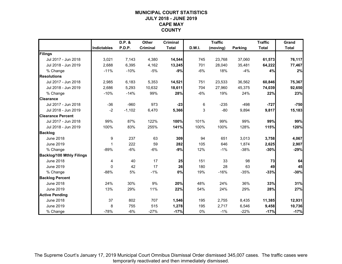### **MUNICIPAL COURT STATISTICSJULY 2018 - JUNE 2019CAPE MAYCOUNTY**

|                                  |                    | D.P. &   | Other           | <b>Criminal</b> |        | <b>Traffic</b> |         | <b>Traffic</b> | Grand        |
|----------------------------------|--------------------|----------|-----------------|-----------------|--------|----------------|---------|----------------|--------------|
|                                  | <b>Indictables</b> | P.D.P.   | <b>Criminal</b> | <b>Total</b>    | D.W.I. | (moving)       | Parking | <b>Total</b>   | <b>Total</b> |
| Filings                          |                    |          |                 |                 |        |                |         |                |              |
| Jul 2017 - Jun 2018              | 3,021              | 7,143    | 4,380           | 14,544          | 745    | 23,768         | 37,060  | 61,573         | 76,117       |
| Jul 2018 - Jun 2019              | 2,688              | 6,395    | 4,162           | 13,245          | 701    | 28,040         | 35,481  | 64,222         | 77,467       |
| % Change                         | $-11%$             | $-10%$   | -5%             | $-9%$           | $-6%$  | 18%            | $-4%$   | 4%             | 2%           |
| <b>Resolutions</b>               |                    |          |                 |                 |        |                |         |                |              |
| Jul 2017 - Jun 2018              | 2,985              | 6,183    | 5,353           | 14,521          | 751    | 23,533         | 36,562  | 60,846         | 75,367       |
| Jul 2018 - Jun 2019              | 2,686              | 5,293    | 10,632          | 18,611          | 704    | 27,960         | 45,375  | 74,039         | 92,650       |
| % Change                         | $-10%$             | $-14%$   | 99%             | 28%             | $-6%$  | 19%            | 24%     | 22%            | 23%          |
| <b>Clearance</b>                 |                    |          |                 |                 |        |                |         |                |              |
| Jul 2017 - Jun 2018              | $-36$              | $-960$   | 973             | $-23$           | 6      | $-235$         | $-498$  | $-727$         | $-750$       |
| Jul 2018 - Jun 2019              | $-2$               | $-1,102$ | 6,470           | 5,366           | 3      | $-80$          | 9,894   | 9,817          | 15,183       |
| <b>Clearance Percent</b>         |                    |          |                 |                 |        |                |         |                |              |
| Jul 2017 - Jun 2018              | 99%                | 87%      | 122%            | 100%            | 101%   | 99%            | 99%     | 99%            | 99%          |
| Jul 2018 - Jun 2019              | 100%               | 83%      | 255%            | 141%            | 100%   | 100%           | 128%    | 115%           | 120%         |
| <b>Backlog</b>                   |                    |          |                 |                 |        |                |         |                |              |
| <b>June 2018</b>                 | 9                  | 237      | 63              | 309             | 94     | 651            | 3,013   | 3,758          | 4,067        |
| <b>June 2019</b>                 | 1                  | 222      | 59              | 282             | 105    | 646            | 1,874   | 2,625          | 2,907        |
| % Change                         | $-89%$             | $-6%$    | $-6%$           | $-9%$           | 12%    | $-1%$          | $-38%$  | $-30%$         | $-29%$       |
| <b>Backlog/100 Mthly Filings</b> |                    |          |                 |                 |        |                |         |                |              |
| <b>June 2018</b>                 | 4                  | 40       | 17              | 25              | 151    | 33             | 98      | 73             | 64           |
| June 2019                        | $\Omega$           | 42       | 17              | 26              | 180    | 28             | 63      | 49             | 45           |
| % Change                         | -88%               | 5%       | $-1%$           | 0%              | 19%    | $-16%$         | $-35%$  | $-33%$         | $-30%$       |
| <b>Backlog Percent</b>           |                    |          |                 |                 |        |                |         |                |              |
| <b>June 2018</b>                 | 24%                | 30%      | 9%              | 20%             | 48%    | 24%            | 36%     | 33%            | 31%          |
| <b>June 2019</b>                 | 13%                | 29%      | 11%             | 22%             | 54%    | 24%            | 29%     | 28%            | 27%          |
| <b>Active Pending</b>            |                    |          |                 |                 |        |                |         |                |              |
| <b>June 2018</b>                 | 37                 | 802      | 707             | 1,546           | 195    | 2,755          | 8,435   | 11,385         | 12,931       |
| <b>June 2019</b>                 | 8                  | 755      | 515             | 1,278           | 195    | 2,717          | 6,546   | 9,458          | 10,736       |
| % Change                         | $-78%$             | $-6%$    | $-27%$          | $-17%$          | 0%     | $-1%$          | $-22%$  | $-17%$         | $-17%$       |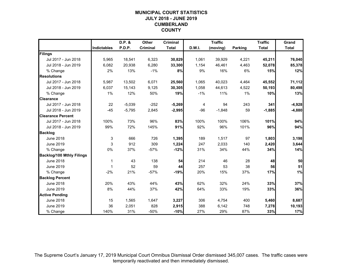### **MUNICIPAL COURT STATISTICSJULY 2018 - JUNE 2019CUMBERLAND COUNTY**

|                                  |                    | D.P. &   | Other    | <b>Criminal</b> |        | <b>Traffic</b> |         | <b>Traffic</b> | Grand        |
|----------------------------------|--------------------|----------|----------|-----------------|--------|----------------|---------|----------------|--------------|
|                                  | <b>Indictables</b> | P.D.P.   | Criminal | <b>Total</b>    | D.W.I. | (moving)       | Parking | <b>Total</b>   | <b>Total</b> |
| Filings                          |                    |          |          |                 |        |                |         |                |              |
| Jul 2017 - Jun 2018              | 5,965              | 18,541   | 6,323    | 30,829          | 1,061  | 39,929         | 4,221   | 45,211         | 76,040       |
| Jul 2018 - Jun 2019              | 6,082              | 20,938   | 6,280    | 33,300          | 1,154  | 46,461         | 4,463   | 52,078         | 85,378       |
| % Change                         | 2%                 | 13%      | $-1%$    | 8%              | 9%     | 16%            | 6%      | 15%            | 12%          |
| <b>Resolutions</b>               |                    |          |          |                 |        |                |         |                |              |
| Jul 2017 - Jun 2018              | 5,987              | 13,502   | 6,071    | 25,560          | 1,065  | 40,023         | 4,464   | 45,552         | 71,112       |
| Jul 2018 - Jun 2019              | 6,037              | 15,143   | 9,125    | 30,305          | 1,058  | 44,613         | 4,522   | 50,193         | 80,498       |
| % Change                         | 1%                 | 12%      | 50%      | 19%             | $-1%$  | 11%            | 1%      | 10%            | 13%          |
| <b>Clearance</b>                 |                    |          |          |                 |        |                |         |                |              |
| Jul 2017 - Jun 2018              | 22                 | $-5,039$ | $-252$   | $-5,269$        | 4      | 94             | 243     | 341            | $-4,928$     |
| Jul 2018 - Jun 2019              | $-45$              | $-5,795$ | 2,845    | $-2,995$        | $-96$  | $-1,848$       | 59      | $-1,885$       | $-4,880$     |
| <b>Clearance Percent</b>         |                    |          |          |                 |        |                |         |                |              |
| Jul 2017 - Jun 2018              | 100%               | 73%      | 96%      | 83%             | 100%   | 100%           | 106%    | 101%           | 94%          |
| Jul 2018 - Jun 2019              | 99%                | 72%      | 145%     | 91%             | 92%    | 96%            | 101%    | 96%            | 94%          |
| <b>Backlog</b>                   |                    |          |          |                 |        |                |         |                |              |
| June 2018                        | 3                  | 666      | 726      | 1,395           | 189    | 1,517          | 97      | 1,803          | 3,198        |
| June 2019                        | 3                  | 912      | 309      | 1,224           | 247    | 2,033          | 140     | 2,420          | 3,644        |
| % Change                         | 0%                 | 37%      | $-57%$   | $-12%$          | 31%    | 34%            | 44%     | 34%            | 14%          |
| <b>Backlog/100 Mthly Filings</b> |                    |          |          |                 |        |                |         |                |              |
| <b>June 2018</b>                 | 1                  | 43       | 138      | 54              | 214    | 46             | 28      | 48             | 50           |
| <b>June 2019</b>                 | 1                  | 52       | 59       | 44              | 257    | 53             | 38      | 56             | 51           |
| % Change                         | $-2%$              | 21%      | $-57%$   | $-19%$          | 20%    | 15%            | 37%     | 17%            | 1%           |
| <b>Backlog Percent</b>           |                    |          |          |                 |        |                |         |                |              |
| <b>June 2018</b>                 | 20%                | 43%      | 44%      | 43%             | 62%    | 32%            | 24%     | 33%            | 37%          |
| <b>June 2019</b>                 | 8%                 | 44%      | 37%      | 42%             | 64%    | 33%            | 19%     | 33%            | 36%          |
| <b>Active Pending</b>            |                    |          |          |                 |        |                |         |                |              |
| <b>June 2018</b>                 | 15                 | 1,565    | 1,647    | 3,227           | 306    | 4,754          | 400     | 5,460          | 8,687        |
| <b>June 2019</b>                 | 36                 | 2,051    | 828      | 2,915           | 388    | 6,142          | 748     | 7,278          | 10,193       |
| % Change                         | 140%               | 31%      | $-50%$   | $-10%$          | 27%    | 29%            | 87%     | 33%            | 17%          |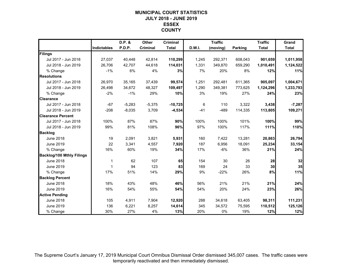### **MUNICIPAL COURT STATISTICSJULY 2018 - JUNE 2019ESSEXCOUNTY**

|                                  |                    | D.P. &   | Other    | <b>Criminal</b> |        | <b>Traffic</b> |                | <b>Traffic</b>  | Grand        |
|----------------------------------|--------------------|----------|----------|-----------------|--------|----------------|----------------|-----------------|--------------|
|                                  | <b>Indictables</b> | P.D.P.   | Criminal | <b>Total</b>    | D.W.I. | (moving)       | <b>Parking</b> | <b>Total</b>    | <b>Total</b> |
| Filings                          |                    |          |          |                 |        |                |                |                 |              |
| Jul 2017 - Jun 2018              | 27,037             | 40,448   | 42,814   | 110,299         | 1,245  | 292,371        | 608,043        | 901,659         | 1,011,958    |
| Jul 2018 - Jun 2019              | 26,706             | 42,707   | 44,618   | 114,031         | 1,331  | 349,870        | 659,290        | 1,010,491       | 1,124,522    |
| % Change                         | $-1%$              | 6%       | 4%       | 3%              | 7%     | 20%            | 8%             | 12%             | 11%          |
| <b>Resolutions</b>               |                    |          |          |                 |        |                |                |                 |              |
| Jul 2017 - Jun 2018              | 26.970             | 35,165   | 37,439   | 99,574          | 1,251  | 292,481        | 611,365        | 905,097         | 1,004,671    |
| Jul 2018 - Jun 2019              | 26,498             | 34,672   | 48,327   | 109,497         | 1,290  | 349,381        | 773,625        | 1,124,296       | 1,233,793    |
| % Change                         | $-2%$              | $-1%$    | 29%      | 10%             | 3%     | 19%            | 27%            | 24%             | 23%          |
| <b>Clearance</b>                 |                    |          |          |                 |        |                |                |                 |              |
| Jul 2017 - Jun 2018              | $-67$              | $-5,283$ | $-5,375$ | $-10,725$       | 6      | 110            | 3,322          | 3,438           | $-7,287$     |
| Jul 2018 - Jun 2019              | $-208$             | $-8,035$ | 3,709    | $-4,534$        | $-41$  | $-489$         | 114,335        | 113,805         | 109,271      |
| <b>Clearance Percent</b>         |                    |          |          |                 |        |                |                |                 |              |
| Jul 2017 - Jun 2018              | 100%               | 87%      | 87%      | 90%             | 100%   | 100%           | 101%           | 100%            | 99%          |
| Jul 2018 - Jun 2019              | 99%                | 81%      | 108%     | 96%             | 97%    | 100%           | 117%           | 111%            | 110%         |
| <b>Backlog</b>                   |                    |          |          |                 |        |                |                |                 |              |
| <b>June 2018</b>                 | 19                 | 2,091    | 3,821    | 5,931           | 160    | 7,422          | 13,281         | 20,863          | 26,794       |
| June 2019                        | 22                 | 3,341    | 4,557    | 7,920           | 187    | 6,956          | 18,091         | 25,234          | 33,154       |
| % Change                         | 16%                | 60%      | 19%      | 34%             | 17%    | $-6%$          | 36%            | 21%             | 24%          |
| <b>Backlog/100 Mthly Filings</b> |                    |          |          |                 |        |                |                |                 |              |
| <b>June 2018</b>                 | 1                  | 62       | 107      | 65              | 154    | 30             | 26             | 28              | 32           |
| <b>June 2019</b>                 | 1                  | 94       | 123      | 83              | 169    | 24             | 33             | 30 <sub>1</sub> | 35           |
| % Change                         | 17%                | 51%      | 14%      | 29%             | 9%     | $-22%$         | 26%            | 8%              | 11%          |
| <b>Backlog Percent</b>           |                    |          |          |                 |        |                |                |                 |              |
| <b>June 2018</b>                 | 18%                | 43%      | 48%      | 46%             | 56%    | 21%            | 21%            | 21%             | 24%          |
| June 2019                        | 16%                | 54%      | 55%      | 54%             | 54%    | 20%            | 24%            | 23%             | 26%          |
| <b>Active Pending</b>            |                    |          |          |                 |        |                |                |                 |              |
| <b>June 2018</b>                 | 105                | 4,911    | 7,904    | 12,920          | 288    | 34,618         | 63,405         | 98,311          | 111,231      |
| <b>June 2019</b>                 | 136                | 6,221    | 8,257    | 14,614          | 345    | 34,572         | 75,595         | 110,512         | 125,126      |
| % Change                         | 30%                | 27%      | 4%       | 13%             | 20%    | 0%             | 19%            | 12%             | 12%          |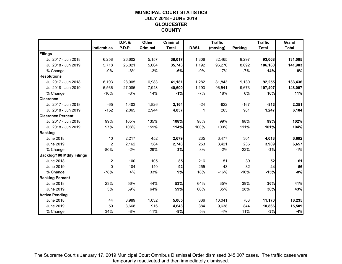### **MUNICIPAL COURT STATISTICSJULY 2018 - JUNE 2019GLOUCESTER COUNTY**

|                                  |                    | D.P. & | Other           | <b>Criminal</b> |        | <b>Traffic</b> |         | <b>Traffic</b> | Grand        |
|----------------------------------|--------------------|--------|-----------------|-----------------|--------|----------------|---------|----------------|--------------|
|                                  | <b>Indictables</b> | P.D.P. | <b>Criminal</b> | <b>Total</b>    | D.W.I. | (moving)       | Parking | <b>Total</b>   | <b>Total</b> |
| Filings                          |                    |        |                 |                 |        |                |         |                |              |
| Jul 2017 - Jun 2018              | 6,258              | 26,602 | 5,157           | 38,017          | 1,306  | 82,465         | 9,297   | 93,068         | 131,085      |
| Jul 2018 - Jun 2019              | 5,718              | 25,021 | 5,004           | 35,743          | 1,192  | 96,276         | 8,692   | 106,160        | 141,903      |
| % Change                         | $-9%$              | $-6%$  | $-3%$           | $-6%$           | $-9%$  | 17%            | $-7%$   | 14%            | 8%           |
| <b>Resolutions</b>               |                    |        |                 |                 |        |                |         |                |              |
| Jul 2017 - Jun 2018              | 6,193              | 28,005 | 6,983           | 41,181          | 1,282  | 81,843         | 9,130   | 92,255         | 133,436      |
| Jul 2018 - Jun 2019              | 5,566              | 27,086 | 7,948           | 40,600          | 1,193  | 96,541         | 9,673   | 107,407        | 148,007      |
| % Change                         | $-10%$             | $-3%$  | 14%             | $-1%$           | $-7%$  | 18%            | 6%      | 16%            | 11%          |
| <b>Clearance</b>                 |                    |        |                 |                 |        |                |         |                |              |
| Jul 2017 - Jun 2018              | $-65$              | 1,403  | 1,826           | 3,164           | $-24$  | $-622$         | $-167$  | $-813$         | 2,351        |
| Jul 2018 - Jun 2019              | $-152$             | 2,065  | 2,944           | 4,857           | 1      | 265            | 981     | 1,247          | 6,104        |
| <b>Clearance Percent</b>         |                    |        |                 |                 |        |                |         |                |              |
| Jul 2017 - Jun 2018              | 99%                | 105%   | 135%            | 108%            | 98%    | 99%            | 98%     | 99%            | 102%         |
| Jul 2018 - Jun 2019              | 97%                | 108%   | 159%            | 114%            | 100%   | 100%           | 111%    | 101%           | 104%         |
| <b>Backlog</b>                   |                    |        |                 |                 |        |                |         |                |              |
| <b>June 2018</b>                 | 10                 | 2,217  | 452             | 2,679           | 235    | 3,477          | 301     | 4,013          | 6,692        |
| June 2019                        | $\overline{c}$     | 2,162  | 584             | 2,748           | 253    | 3,421          | 235     | 3,909          | 6,657        |
| % Change                         | $-80%$             | $-2%$  | 29%             | 3%              | 8%     | $-2%$          | $-22%$  | $-3%$          | $-1%$        |
| <b>Backlog/100 Mthly Filings</b> |                    |        |                 |                 |        |                |         |                |              |
| <b>June 2018</b>                 | $\overline{2}$     | 100    | 105             | 85              | 216    | 51             | 39      | 52             | 61           |
| <b>June 2019</b>                 | $\Omega$           | 104    | 140             | 92              | 255    | 43             | 32      | 44             | 56           |
| % Change                         | $-78%$             | 4%     | 33%             | 9%              | 18%    | $-16%$         | $-16%$  | $-15%$         | $-8%$        |
| <b>Backlog Percent</b>           |                    |        |                 |                 |        |                |         |                |              |
| <b>June 2018</b>                 | 23%                | 56%    | 44%             | 53%             | 64%    | 35%            | 39%     | 36%            | 41%          |
| <b>June 2019</b>                 | 3%                 | 59%    | 64%             | 59%             | 66%    | 35%            | 28%     | 36%            | 43%          |
| <b>Active Pending</b>            |                    |        |                 |                 |        |                |         |                |              |
| <b>June 2018</b>                 | 44                 | 3,989  | 1,032           | 5,065           | 366    | 10,041         | 763     | 11,170         | 16,235       |
| <b>June 2019</b>                 | 59                 | 3,668  | 916             | 4,643           | 384    | 9,638          | 844     | 10,866         | 15,509       |
| % Change                         | 34%                | $-8%$  | $-11%$          | $-8%$           | 5%     | $-4%$          | 11%     | $-3%$          | $-4%$        |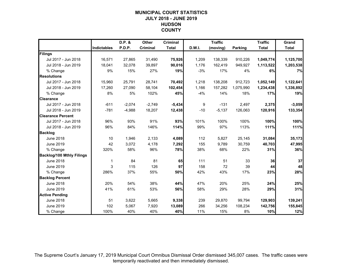### **MUNICIPAL COURT STATISTICSJULY 2018 - JUNE 2019HUDSONCOUNTY**

|                                  |             | D.P. &   | Other           | <b>Criminal</b> |        | <b>Traffic</b> |                | <b>Traffic</b> | Grand        |
|----------------------------------|-------------|----------|-----------------|-----------------|--------|----------------|----------------|----------------|--------------|
|                                  | Indictables | P.D.P.   | <b>Criminal</b> | <b>Total</b>    | D.W.I. | (moving)       | <b>Parking</b> | <b>Total</b>   | <b>Total</b> |
| Filings                          |             |          |                 |                 |        |                |                |                |              |
| Jul 2017 - Jun 2018              | 16,571      | 27,865   | 31,490          | 75,926          | 1,209  | 138,339        | 910,226        | 1,049,774      | 1,125,700    |
| Jul 2018 - Jun 2019              | 18,041      | 32,078   | 39,897          | 90,016          | 1,176  | 162,419        | 949,927        | 1,113,522      | 1,203,538    |
| % Change                         | 9%          | 15%      | 27%             | 19%             | $-3%$  | 17%            | 4%             | 6%             | 7%           |
| <b>Resolutions</b>               |             |          |                 |                 |        |                |                |                |              |
| Jul 2017 - Jun 2018              | 15,960      | 25,791   | 28,741          | 70,492          | 1,218  | 138,208        | 912,723        | 1,052,149      | 1,122,641    |
| Jul 2018 - Jun 2019              | 17,260      | 27,090   | 58,104          | 102,454         | 1,166  | 157,282        | 1,075,990      | 1,234,438      | 1,336,892    |
| % Change                         | 8%          | 5%       | 102%            | 45%             | $-4%$  | 14%            | 18%            | 17%            | 19%          |
| <b>Clearance</b>                 |             |          |                 |                 |        |                |                |                |              |
| Jul 2017 - Jun 2018              | $-611$      | $-2,074$ | $-2,749$        | $-5,434$        | 9      | $-131$         | 2,497          | 2,375          | $-3,059$     |
| Jul 2018 - Jun 2019              | $-781$      | $-4,988$ | 18,207          | 12,438          | $-10$  | $-5,137$       | 126,063        | 120,916        | 133,354      |
| <b>Clearance Percent</b>         |             |          |                 |                 |        |                |                |                |              |
| Jul 2017 - Jun 2018              | 96%         | 93%      | 91%             | 93%             | 101%   | 100%           | 100%           | 100%           | 100%         |
| Jul 2018 - Jun 2019              | 96%         | 84%      | 146%            | 114%            | 99%    | 97%            | 113%           | 111%           | 111%         |
| <b>Backlog</b>                   |             |          |                 |                 |        |                |                |                |              |
| <b>June 2018</b>                 | 10          | 1,946    | 2,133           | 4,089           | 112    | 5,827          | 25,145         | 31,084         | 35,173       |
| June 2019                        | 42          | 3,072    | 4,178           | 7,292           | 155    | 9,789          | 30,759         | 40,703         | 47,995       |
| % Change                         | 320%        | 58%      | 96%             | 78%             | 38%    | 68%            | 22%            | 31%            | 36%          |
| <b>Backlog/100 Mthly Filings</b> |             |          |                 |                 |        |                |                |                |              |
| <b>June 2018</b>                 | 1           | 84       | 81              | 65              | 111    | 51             | 33             | 36             | 37           |
| <b>June 2019</b>                 | 3           | 115      | 126             | 97              | 158    | 72             | 39             | 44             | 48           |
| % Change                         | 286%        | 37%      | 55%             | 50%             | 42%    | 43%            | 17%            | 23%            | 28%          |
| <b>Backlog Percent</b>           |             |          |                 |                 |        |                |                |                |              |
| <b>June 2018</b>                 | 20%         | 54%      | 38%             | 44%             | 47%    | 20%            | 25%            | 24%            | 25%          |
| <b>June 2019</b>                 | 41%         | 61%      | 53%             | 56%             | 58%    | 29%            | 28%            | 29%            | 31%          |
| <b>Active Pending</b>            |             |          |                 |                 |        |                |                |                |              |
| <b>June 2018</b>                 | 51          | 3,622    | 5,665           | 9,338           | 239    | 29,870         | 99,794         | 129,903        | 139,241      |
| <b>June 2019</b>                 | 102         | 5,067    | 7,920           | 13,089          | 266    | 34,256         | 108,234        | 142,756        | 155,845      |
| % Change                         | 100%        | 40%      | 40%             | 40%             | 11%    | 15%            | 8%             | 10%            | 12%          |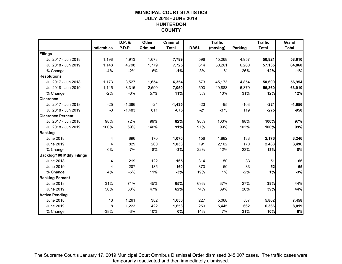### **MUNICIPAL COURT STATISTICSJULY 2018 - JUNE 2019HUNTERDONCOUNTY**

|                                  |                    | D.P. &   | Other           | <b>Criminal</b> |        | <b>Traffic</b> |         | <b>Traffic</b> | Grand        |
|----------------------------------|--------------------|----------|-----------------|-----------------|--------|----------------|---------|----------------|--------------|
|                                  | <b>Indictables</b> | P.D.P.   | <b>Criminal</b> | <b>Total</b>    | D.W.I. | (moving)       | Parking | <b>Total</b>   | <b>Total</b> |
| Filings                          |                    |          |                 |                 |        |                |         |                |              |
| Jul 2017 - Jun 2018              | 1,198              | 4,913    | 1,678           | 7,789           | 596    | 45,268         | 4,957   | 50,821         | 58,610       |
| Jul 2018 - Jun 2019              | 1,148              | 4,798    | 1,779           | 7,725           | 614    | 50,261         | 6,260   | 57,135         | 64,860       |
| % Change                         | $-4%$              | $-2%$    | 6%              | $-1%$           | 3%     | 11%            | 26%     | 12%            | 11%          |
| <b>Resolutions</b>               |                    |          |                 |                 |        |                |         |                |              |
| Jul 2017 - Jun 2018              | 1,173              | 3,527    | 1,654           | 6,354           | 573    | 45,173         | 4,854   | 50,600         | 56,954       |
| Jul 2018 - Jun 2019              | 1,145              | 3,315    | 2,590           | 7,050           | 593    | 49,888         | 6,379   | 56,860         | 63,910       |
| % Change                         | $-2%$              | $-6%$    | 57%             | 11%             | 3%     | 10%            | 31%     | 12%            | 12%          |
| <b>Clearance</b>                 |                    |          |                 |                 |        |                |         |                |              |
| Jul 2017 - Jun 2018              | $-25$              | $-1,386$ | $-24$           | $-1,435$        | $-23$  | $-95$          | $-103$  | $-221$         | $-1,656$     |
| Jul 2018 - Jun 2019              | $-3$               | $-1,483$ | 811             | $-675$          | $-21$  | $-373$         | 119     | $-275$         | $-950$       |
| <b>Clearance Percent</b>         |                    |          |                 |                 |        |                |         |                |              |
| Jul 2017 - Jun 2018              | 98%                | 72%      | 99%             | 82%             | 96%    | 100%           | 98%     | 100%           | 97%          |
| Jul 2018 - Jun 2019              | 100%               | 69%      | 146%            | 91%             | 97%    | 99%            | 102%    | 100%           | 99%          |
| <b>Backlog</b>                   |                    |          |                 |                 |        |                |         |                |              |
| <b>June 2018</b>                 | 4                  | 896      | 170             | 1,070           | 156    | 1,882          | 138     | 2,176          | 3,246        |
| <b>June 2019</b>                 | 4                  | 829      | 200             | 1,033           | 191    | 2,102          | 170     | 2,463          | 3,496        |
| % Change                         | 0%                 | $-7%$    | 18%             | $-3%$           | 22%    | 12%            | 23%     | 13%            | 8%           |
| <b>Backlog/100 Mthly Filings</b> |                    |          |                 |                 |        |                |         |                |              |
| <b>June 2018</b>                 | 4                  | 219      | 122             | 165             | 314    | 50             | 33      | 51             | 66           |
| <b>June 2019</b>                 | $\overline{4}$     | 207      | 135             | 160             | 373    | 50             | 33      | 52             | 65           |
| % Change                         | 4%                 | $-5%$    | 11%             | $-3%$           | 19%    | 1%             | $-2%$   | 1%             | $-3%$        |
| <b>Backlog Percent</b>           |                    |          |                 |                 |        |                |         |                |              |
| <b>June 2018</b>                 | 31%                | 71%      | 45%             | 65%             | 69%    | 37%            | 27%     | 38%            | 44%          |
| <b>June 2019</b>                 | 50%                | 68%      | 47%             | 62%             | 74%    | 39%            | 26%     | 39%            | 44%          |
| <b>Active Pending</b>            |                    |          |                 |                 |        |                |         |                |              |
| <b>June 2018</b>                 | 13                 | 1,261    | 382             | 1,656           | 227    | 5,068          | 507     | 5,802          | 7,458        |
| <b>June 2019</b>                 | 8                  | 1,223    | 422             | 1,653           | 259    | 5,445          | 662     | 6,366          | 8,019        |
| % Change                         | $-38%$             | $-3%$    | 10%             | 0%              | 14%    | 7%             | 31%     | 10%            | 8%           |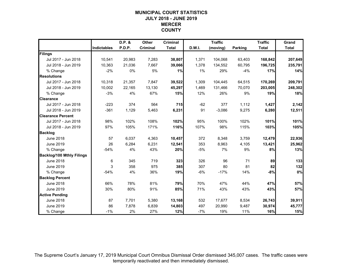### **MUNICIPAL COURT STATISTICSJULY 2018 - JUNE 2019MERCERCOUNTY**

|                                  |                    | D.P. & | Other    | <b>Criminal</b> |        | <b>Traffic</b> |         | <b>Traffic</b> | Grand        |
|----------------------------------|--------------------|--------|----------|-----------------|--------|----------------|---------|----------------|--------------|
|                                  | <b>Indictables</b> | P.D.P. | Criminal | <b>Total</b>    | D.W.I. | (moving)       | Parking | <b>Total</b>   | <b>Total</b> |
| Filings                          |                    |        |          |                 |        |                |         |                |              |
| Jul 2017 - Jun 2018              | 10,541             | 20,983 | 7,283    | 38,807          | 1,371  | 104,068        | 63,403  | 168,842        | 207,649      |
| Jul 2018 - Jun 2019              | 10,363             | 21,036 | 7,667    | 39,066          | 1,378  | 134,552        | 60,795  | 196,725        | 235,791      |
| % Change                         | $-2%$              | 0%     | 5%       | 1%              | 1%     | 29%            | $-4%$   | 17%            | 14%          |
| <b>Resolutions</b>               |                    |        |          |                 |        |                |         |                |              |
| Jul 2017 - Jun 2018              | 10,318             | 21,357 | 7,847    | 39,522          | 1,309  | 104,445        | 64,515  | 170,269        | 209,791      |
| Jul 2018 - Jun 2019              | 10,002             | 22,165 | 13,130   | 45,297          | 1,469  | 131,466        | 70,070  | 203,005        | 248,302      |
| % Change                         | $-3%$              | 4%     | 67%      | 15%             | 12%    | 26%            | 9%      | 19%            | 18%          |
| <b>Clearance</b>                 |                    |        |          |                 |        |                |         |                |              |
| Jul 2017 - Jun 2018              | $-223$             | 374    | 564      | 715             | $-62$  | 377            | 1,112   | 1,427          | 2,142        |
| Jul 2018 - Jun 2019              | $-361$             | 1,129  | 5,463    | 6,231           | 91     | $-3,086$       | 9,275   | 6,280          | 12,511       |
| <b>Clearance Percent</b>         |                    |        |          |                 |        |                |         |                |              |
| Jul 2017 - Jun 2018              | 98%                | 102%   | 108%     | 102%            | 95%    | 100%           | 102%    | 101%           | 101%         |
| Jul 2018 - Jun 2019              | 97%                | 105%   | 171%     | 116%            | 107%   | 98%            | 115%    | 103%           | 105%         |
| <b>Backlog</b>                   |                    |        |          |                 |        |                |         |                |              |
| June 2018                        | 57                 | 6,037  | 4,363    | 10,457          | 372    | 8,348          | 3,759   | 12,479         | 22,936       |
| June 2019                        | 26                 | 6,284  | 6,231    | 12,541          | 353    | 8,963          | 4,105   | 13,421         | 25,962       |
| % Change                         | $-54%$             | 4%     | 43%      | 20%             | $-5%$  | 7%             | 9%      | 8%             | 13%          |
| <b>Backlog/100 Mthly Filings</b> |                    |        |          |                 |        |                |         |                |              |
| <b>June 2018</b>                 | $\,6\,$            | 345    | 719      | 323             | 326    | 96             | 71      | 89             | 133          |
| <b>June 2019</b>                 | 3                  | 358    | 975      | 385             | 307    | 80             | 81      | 82             | 132          |
| % Change                         | $-54%$             | 4%     | 36%      | 19%             | $-6%$  | $-17%$         | 14%     | $-8%$          | 0%           |
| <b>Backlog Percent</b>           |                    |        |          |                 |        |                |         |                |              |
| <b>June 2018</b>                 | 66%                | 78%    | 81%      | 79%             | 70%    | 47%            | 44%     | 47%            | 57%          |
| <b>June 2019</b>                 | 30%                | 80%    | 91%      | 85%             | 71%    | 43%            | 43%     | 43%            | 57%          |
| <b>Active Pending</b>            |                    |        |          |                 |        |                |         |                |              |
| <b>June 2018</b>                 | 87                 | 7,701  | 5,380    | 13,168          | 532    | 17,677         | 8,534   | 26,743         | 39,911       |
| <b>June 2019</b>                 | 86                 | 7,878  | 6,839    | 14,803          | 497    | 20,990         | 9,487   | 30,974         | 45,777       |
| % Change                         | $-1%$              | 2%     | 27%      | 12%             | $-7%$  | 19%            | 11%     | 16%            | 15%          |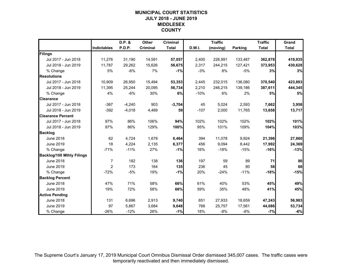### **MUNICIPAL COURT STATISTICSJULY 2018 - JUNE 2019MIDDLESEXCOUNTY**

|                                  |                    | D.P. &   | <b>Other</b>    | <b>Criminal</b> |        | <b>Traffic</b> |         | <b>Traffic</b> | Grand        |
|----------------------------------|--------------------|----------|-----------------|-----------------|--------|----------------|---------|----------------|--------------|
|                                  | <b>Indictables</b> | P.D.P.   | <b>Criminal</b> | <b>Total</b>    | D.W.I. | (moving)       | Parking | <b>Total</b>   | <b>Total</b> |
| Filings                          |                    |          |                 |                 |        |                |         |                |              |
| Jul 2017 - Jun 2018              | 11,276             | 31,190   | 14,591          | 57,057          | 2,400  | 226,991        | 133,487 | 362,878        | 419,935      |
| Jul 2018 - Jun 2019              | 11.787             | 29,262   | 15,626          | 56,675          | 2,317  | 244,215        | 127.421 | 373,953        | 430,628      |
| % Change                         | 5%                 | $-6%$    | 7%              | $-1%$           | $-3%$  | 8%             | $-5%$   | 3%             | 3%           |
| <b>Resolutions</b>               |                    |          |                 |                 |        |                |         |                |              |
| Jul 2017 - Jun 2018              | 10.909             | 26,950   | 15,494          | 53,353          | 2,445  | 232,015        | 136,080 | 370,540        | 423,893      |
| Jul 2018 - Jun 2019              | 11,395             | 25,244   | 20,095          | 56,734          | 2,210  | 246,215        | 139,186 | 387,611        | 444,345      |
| % Change                         | 4%                 | $-6%$    | 30%             | 6%              | $-10%$ | 6%             | 2%      | <b>5%</b>      | 5%           |
| <b>Clearance</b>                 |                    |          |                 |                 |        |                |         |                |              |
| Jul 2017 - Jun 2018              | $-367$             | $-4,240$ | 903             | $-3,704$        | 45     | 5,024          | 2,593   | 7,662          | 3,958        |
| Jul 2018 - Jun 2019              | $-392$             | $-4,018$ | 4,469           | 59              | $-107$ | 2,000          | 11,765  | 13,658         | 13,717       |
| <b>Clearance Percent</b>         |                    |          |                 |                 |        |                |         |                |              |
| Jul 2017 - Jun 2018              | 97%                | 86%      | 106%            | 94%             | 102%   | 102%           | 102%    | 102%           | 101%         |
| Jul 2018 - Jun 2019              | 97%                | 86%      | 129%            | 100%            | 95%    | 101%           | 109%    | 104%           | 103%         |
| <b>Backlog</b>                   |                    |          |                 |                 |        |                |         |                |              |
| <b>June 2018</b>                 | 62                 | 4,724    | 1,678           | 6,464           | 394    | 11,078         | 9,924   | 21,396         | 27,860       |
| June 2019                        | 18                 | 4,224    | 2,135           | 6,377           | 456    | 9,094          | 8,442   | 17,992         | 24,369       |
| % Change                         | $-71%$             | $-11%$   | 27%             | $-1%$           | 16%    | $-18%$         | $-15%$  | $-16%$         | $-13%$       |
| <b>Backlog/100 Mthly Filings</b> |                    |          |                 |                 |        |                |         |                |              |
| <b>June 2018</b>                 | 7                  | 182      | 138             | 136             | 197    | 59             | 89      | 71             | 80           |
| <b>June 2019</b>                 | 2                  | 173      | 164             | 135             | 236    | 45             | 80      | 58             | 68           |
| % Change                         | $-72%$             | $-5%$    | 19%             | $-1%$           | 20%    | $-24%$         | $-11%$  | $-18%$         | $-15%$       |
| <b>Backlog Percent</b>           |                    |          |                 |                 |        |                |         |                |              |
| <b>June 2018</b>                 | 47%                | 71%      | 58%             | 66%             | 61%    | 40%            | 53%     | 45%            | 49%          |
| June 2019                        | 19%                | 72%      | 58%             | 66%             | 59%    | 35%            | 48%     | 41%            | 45%          |
| <b>Active Pending</b>            |                    |          |                 |                 |        |                |         |                |              |
| <b>June 2018</b>                 | 131                | 6,696    | 2,913           | 9,740           | 651    | 27,933         | 18,659  | 47,243         | 56,983       |
| <b>June 2019</b>                 | 97                 | 5,867    | 3,684           | 9,648           | 768    | 25,757         | 17,561  | 44,086         | 53,734       |
| % Change                         | $-26%$             | $-12%$   | 26%             | $-1%$           | 18%    | $-8%$          | $-6%$   | $-7%$          | $-6%$        |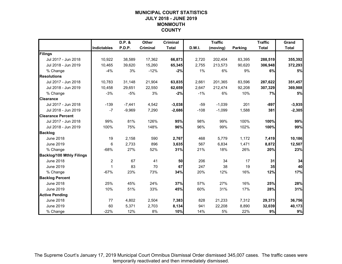### **MUNICIPAL COURT STATISTICSJULY 2018 - JUNE 2019MONMOUTHCOUNTY**

|                                  |                    | D.P. &   | Other           | <b>Criminal</b> |        | <b>Traffic</b> |                | <b>Traffic</b> | Grand        |
|----------------------------------|--------------------|----------|-----------------|-----------------|--------|----------------|----------------|----------------|--------------|
|                                  | <b>Indictables</b> | P.D.P.   | <b>Criminal</b> | <b>Total</b>    | D.W.I. | (moving)       | <b>Parking</b> | <b>Total</b>   | <b>Total</b> |
| Filings                          |                    |          |                 |                 |        |                |                |                |              |
| Jul 2017 - Jun 2018              | 10,922             | 38,589   | 17,362          | 66,873          | 2,720  | 202,404        | 83,395         | 288,519        | 355,392      |
| Jul 2018 - Jun 2019              | 10.465             | 39.620   | 15,260          | 65,345          | 2.755  | 213.573        | 90.620         | 306,948        | 372,293      |
| % Change                         | $-4%$              | 3%       | $-12%$          | $-2%$           | 1%     | 6%             | 9%             | 6%             | 5%           |
| <b>Resolutions</b>               |                    |          |                 |                 |        |                |                |                |              |
| Jul 2017 - Jun 2018              | 10,783             | 31,148   | 21,904          | 63,835          | 2,661  | 201,365        | 83,596         | 287,622        | 351,457      |
| Jul 2018 - Jun 2019              | 10,458             | 29,651   | 22,550          | 62,659          | 2,647  | 212,474        | 92,208         | 307,329        | 369,988      |
| % Change                         | $-3%$              | $-5%$    | 3%              | $-2%$           | $-1%$  | 6%             | 10%            | 7%             | 5%           |
| <b>Clearance</b>                 |                    |          |                 |                 |        |                |                |                |              |
| Jul 2017 - Jun 2018              | $-139$             | $-7,441$ | 4,542           | $-3,038$        | $-59$  | $-1,039$       | 201            | $-897$         | $-3,935$     |
| Jul 2018 - Jun 2019              | $-7$               | $-9,969$ | 7,290           | $-2,686$        | $-108$ | $-1,099$       | 1,588          | 381            | $-2,305$     |
| <b>Clearance Percent</b>         |                    |          |                 |                 |        |                |                |                |              |
| Jul 2017 - Jun 2018              | 99%                | 81%      | 126%            | 95%             | 98%    | 99%            | 100%           | 100%           | 99%          |
| Jul 2018 - Jun 2019              | 100%               | 75%      | 148%            | 96%             | 96%    | 99%            | 102%           | 100%           | 99%          |
| <b>Backlog</b>                   |                    |          |                 |                 |        |                |                |                |              |
| <b>June 2018</b>                 | 19                 | 2,158    | 590             | 2,767           | 468    | 5,779          | 1,172          | 7,419          | 10,186       |
| <b>June 2019</b>                 | 6                  | 2,733    | 896             | 3,635           | 567    | 6,834          | 1,471          | 8,872          | 12,507       |
| % Change                         | $-68%$             | 27%      | 52%             | 31%             | 21%    | 18%            | 26%            | 20%            | 23%          |
| <b>Backlog/100 Mthly Filings</b> |                    |          |                 |                 |        |                |                |                |              |
| <b>June 2018</b>                 | $\overline{c}$     | 67       | 41              | 50              | 206    | 34             | 17             | 31             | 34           |
| <b>June 2019</b>                 | 1                  | 83       | 70              | 67              | 247    | 38             | 19             | 35             | 40           |
| % Change                         | $-67%$             | 23%      | 73%             | 34%             | 20%    | 12%            | 16%            | 12%            | 17%          |
| <b>Backlog Percent</b>           |                    |          |                 |                 |        |                |                |                |              |
| <b>June 2018</b>                 | 25%                | 45%      | 24%             | 37%             | 57%    | 27%            | 16%            | 25%            | 28%          |
| <b>June 2019</b>                 | 10%                | 51%      | 33%             | 45%             | 60%    | 31%            | 17%            | 28%            | 31%          |
| <b>Active Pending</b>            |                    |          |                 |                 |        |                |                |                |              |
| <b>June 2018</b>                 | 77                 | 4,802    | 2,504           | 7,383           | 828    | 21,233         | 7,312          | 29,373         | 36,756       |
| <b>June 2019</b>                 | 60                 | 5,371    | 2,703           | 8,134           | 941    | 22,208         | 8,890          | 32,039         | 40,173       |
| % Change                         | $-22%$             | 12%      | 8%              | 10%             | 14%    | 5%             | 22%            | 9%             | 9%           |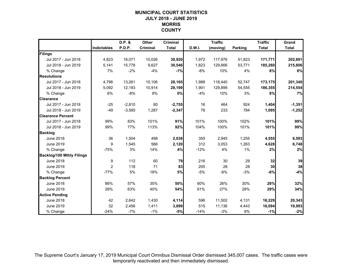### **MUNICIPAL COURT STATISTICSJULY 2018 - JUNE 2019MORRISCOUNTY**

|                                  |                    | D.P. &   | Other           | <b>Criminal</b> |        | <b>Traffic</b> |                | <b>Traffic</b> | Grand        |
|----------------------------------|--------------------|----------|-----------------|-----------------|--------|----------------|----------------|----------------|--------------|
|                                  | <b>Indictables</b> | P.D.P.   | <b>Criminal</b> | <b>Total</b>    | D.W.I. | (moving)       | <b>Parking</b> | <b>Total</b>   | <b>Total</b> |
| Filings                          |                    |          |                 |                 |        |                |                |                |              |
| Jul 2017 - Jun 2018              | 4,823              | 16,071   | 10,026          | 30,920          | 1,972  | 117,976        | 51,823         | 171,771        | 202,691      |
| Jul 2018 - Jun 2019              | 5,141              | 15,778   | 9,627           | 30,546          | 1,823  | 129,666        | 53,771         | 185,260        | 215,806      |
| % Change                         | 7%                 | $-2%$    | $-4%$           | $-1%$           | $-8%$  | 10%            | 4%             | 8%             | 6%           |
| <b>Resolutions</b>               |                    |          |                 |                 |        |                |                |                |              |
| Jul 2017 - Jun 2018              | 4,798              | 13,261   | 10,106          | 28,165          | 1,988  | 118,440        | 52,747         | 173,175        | 201,340      |
| Jul 2018 - Jun 2019              | 5,092              | 12,193   | 10,914          | 28,199          | 1,901  | 129,899        | 54,555         | 186,355        | 214,554      |
| % Change                         | 6%                 | $-8%$    | 8%              | 0%              | $-4%$  | 10%            | 3%             | 8%             | 7%           |
| <b>Clearance</b>                 |                    |          |                 |                 |        |                |                |                |              |
| Jul 2017 - Jun 2018              | $-25$              | $-2,810$ | 80              | $-2,755$        | 16     | 464            | 924            | 1,404          | $-1,351$     |
| Jul 2018 - Jun 2019              | $-49$              | $-3,585$ | 1,287           | $-2,347$        | 78     | 233            | 784            | 1,095          | $-1,252$     |
| <b>Clearance Percent</b>         |                    |          |                 |                 |        |                |                |                |              |
| Jul 2017 - Jun 2018              | 99%                | 83%      | 101%            | 91%             | 101%   | 100%           | 102%           | 101%           | 99%          |
| Jul 2018 - Jun 2019              | 99%                | 77%      | 113%            | 92%             | 104%   | 100%           | 101%           | 101%           | 99%          |
| <b>Backlog</b>                   |                    |          |                 |                 |        |                |                |                |              |
| <b>June 2018</b>                 | 36                 | 1,504    | 498             | 2,038           | 355    | 2,945          | 1,255          | 4,555          | 6,593        |
| <b>June 2019</b>                 | 9                  | 1,545    | 566             | 2,120           | 312    | 3,053          | 1,263          | 4,628          | 6,748        |
| % Change                         | $-75%$             | 3%       | 14%             | 4%              | $-12%$ | 4%             | 1%             | 2%             | 2%           |
| <b>Backlog/100 Mthly Filings</b> |                    |          |                 |                 |        |                |                |                |              |
| <b>June 2018</b>                 | 9                  | 112      | 60              | 79              | 216    | 30             | 29             | 32             | 39           |
| <b>June 2019</b>                 | 2                  | 118      | 71              | 83              | 205    | 28             | 28             | 30             | 38           |
| % Change                         | $-77%$             | 5%       | 18%             | 5%              | $-5%$  | $-6%$          | $-3%$          | $-6%$          | $-4%$        |
| <b>Backlog Percent</b>           |                    |          |                 |                 |        |                |                |                |              |
| <b>June 2018</b>                 | 86%                | 57%      | 35%             | 50%             | 60%    | 26%            | 30%            | 28%            | 32%          |
| <b>June 2019</b>                 | 28%                | 63%      | 40%             | 54%             | 61%    | 27%            | 28%            | 29%            | 34%          |
| <b>Active Pending</b>            |                    |          |                 |                 |        |                |                |                |              |
| <b>June 2018</b>                 | 42                 | 2,642    | 1,430           | 4,114           | 596    | 11,502         | 4,131          | 16,229         | 20,343       |
| <b>June 2019</b>                 | 32                 | 2,456    | 1,411           | 3,899           | 515    | 11,136         | 4,443          | 16,094         | 19,993       |
| % Change                         | $-24%$             | $-7%$    | $-1%$           | $-5%$           | $-14%$ | $-3%$          | 8%             | $-1%$          | $-2%$        |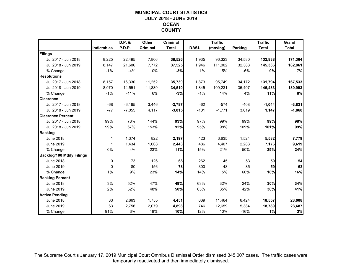### **MUNICIPAL COURT STATISTICSJULY 2018 - JUNE 2019OCEANCOUNTY**

|                                  |                    | D.P. &   | Other    | <b>Criminal</b> |        | <b>Traffic</b> |         | <b>Traffic</b> | Grand        |
|----------------------------------|--------------------|----------|----------|-----------------|--------|----------------|---------|----------------|--------------|
|                                  | <b>Indictables</b> | P.D.P.   | Criminal | <b>Total</b>    | D.W.I. | (moving)       | Parking | <b>Total</b>   | <b>Total</b> |
| Filings                          |                    |          |          |                 |        |                |         |                |              |
| Jul 2017 - Jun 2018              | 8,225              | 22,495   | 7,806    | 38,526          | 1,935  | 96,323         | 34,580  | 132,838        | 171,364      |
| Jul 2018 - Jun 2019              | 8,147              | 21,606   | 7,772    | 37,525          | 1.946  | 111,002        | 32,388  | 145,336        | 182,861      |
| % Change                         | $-1%$              | $-4%$    | 0%       | $-3%$           | 1%     | 15%            | $-6%$   | 9%             | 7%           |
| <b>Resolutions</b>               |                    |          |          |                 |        |                |         |                |              |
| Jul 2017 - Jun 2018              | 8,157              | 16,330   | 11,252   | 35,739          | 1,873  | 95,749         | 34,172  | 131,794        | 167,533      |
| Jul 2018 - Jun 2019              | 8,070              | 14,551   | 11,889   | 34,510          | 1,845  | 109,231        | 35,407  | 146,483        | 180,993      |
| % Change                         | $-1%$              | $-11%$   | 6%       | $-3%$           | $-1%$  | 14%            | 4%      | 11%            | 8%           |
| <b>Clearance</b>                 |                    |          |          |                 |        |                |         |                |              |
| Jul 2017 - Jun 2018              | $-68$              | $-6,165$ | 3,446    | $-2,787$        | $-62$  | $-574$         | $-408$  | $-1,044$       | $-3,831$     |
| Jul 2018 - Jun 2019              | $-77$              | $-7,055$ | 4,117    | $-3,015$        | $-101$ | $-1,771$       | 3,019   | 1,147          | $-1,868$     |
| <b>Clearance Percent</b>         |                    |          |          |                 |        |                |         |                |              |
| Jul 2017 - Jun 2018              | 99%                | 73%      | 144%     | 93%             | 97%    | 99%            | 99%     | 99%            | 98%          |
| Jul 2018 - Jun 2019              | 99%                | 67%      | 153%     | 92%             | 95%    | 98%            | 109%    | 101%           | 99%          |
| <b>Backlog</b>                   |                    |          |          |                 |        |                |         |                |              |
| June 2018                        | 1                  | 1,374    | 822      | 2,197           | 423    | 3,635          | 1,524   | 5,582          | 7,779        |
| June 2019                        | 1                  | 1,434    | 1,008    | 2,443           | 486    | 4,407          | 2,283   | 7,176          | 9,619        |
| % Change                         | 0%                 | 4%       | 23%      | 11%             | 15%    | 21%            | 50%     | 29%            | 24%          |
| <b>Backlog/100 Mthly Filings</b> |                    |          |          |                 |        |                |         |                |              |
| <b>June 2018</b>                 | 0                  | 73       | 126      | 68              | 262    | 45             | 53      | 50             | 54           |
| <b>June 2019</b>                 | $\Omega$           | 80       | 156      | 78              | 300    | 48             | 85      | 59             | 63           |
| % Change                         | 1%                 | 9%       | 23%      | 14%             | 14%    | 5%             | 60%     | 18%            | 16%          |
| <b>Backlog Percent</b>           |                    |          |          |                 |        |                |         |                |              |
| <b>June 2018</b>                 | 3%                 | 52%      | 47%      | 49%             | 63%    | 32%            | 24%     | 30%            | 34%          |
| <b>June 2019</b>                 | 2%                 | 52%      | 48%      | 50%             | 65%    | 35%            | 42%     | 38%            | 41%          |
| <b>Active Pending</b>            |                    |          |          |                 |        |                |         |                |              |
| <b>June 2018</b>                 | 33                 | 2,663    | 1,755    | 4,451           | 669    | 11,464         | 6,424   | 18,557         | 23,008       |
| <b>June 2019</b>                 | 63                 | 2,756    | 2,079    | 4,898           | 746    | 12,659         | 5,384   | 18,789         | 23,687       |
| % Change                         | 91%                | 3%       | 18%      | 10%             | 12%    | 10%            | $-16%$  | 1%             | 3%           |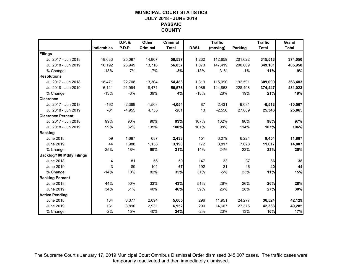### **MUNICIPAL COURT STATISTICSJULY 2018 - JUNE 2019PASSAICCOUNTY**

|                                  |                    | D.P. &   | Other           | <b>Criminal</b> |        | <b>Traffic</b> |                | <b>Traffic</b> | Grand        |
|----------------------------------|--------------------|----------|-----------------|-----------------|--------|----------------|----------------|----------------|--------------|
|                                  | <b>Indictables</b> | P.D.P.   | <b>Criminal</b> | <b>Total</b>    | D.W.I. | (moving)       | <b>Parking</b> | <b>Total</b>   | <b>Total</b> |
| Filings                          |                    |          |                 |                 |        |                |                |                |              |
| Jul 2017 - Jun 2018              | 18,633             | 25,097   | 14,807          | 58,537          | 1,232  | 112,659        | 201,622        | 315,513        | 374,050      |
| Jul 2018 - Jun 2019              | 16,192             | 26.949   | 13,716          | 56,857          | 1,073  | 147,419        | 200.609        | 349,101        | 405,958      |
| % Change                         | $-13%$             | 7%       | $-7%$           | $-3%$           | $-13%$ | 31%            | $-1%$          | 11%            | 9%           |
| <b>Resolutions</b>               |                    |          |                 |                 |        |                |                |                |              |
| Jul 2017 - Jun 2018              | 18,471             | 22,708   | 13,304          | 54,483          | 1,319  | 115,090        | 192,591        | 309,000        | 363,483      |
| Jul 2018 - Jun 2019              | 16,111             | 21,994   | 18,471          | 56,576          | 1,086  | 144,863        | 228,498        | 374,447        | 431,023      |
| % Change                         | $-13%$             | $-3%$    | 39%             | 4%              | $-18%$ | 26%            | 19%            | 21%            | 19%          |
| <b>Clearance</b>                 |                    |          |                 |                 |        |                |                |                |              |
| Jul 2017 - Jun 2018              | $-162$             | $-2,389$ | $-1,503$        | $-4,054$        | 87     | 2,431          | $-9,031$       | $-6,513$       | $-10,567$    |
| Jul 2018 - Jun 2019              | $-81$              | $-4,955$ | 4,755           | $-281$          | 13     | $-2,556$       | 27,889         | 25,346         | 25,065       |
| <b>Clearance Percent</b>         |                    |          |                 |                 |        |                |                |                |              |
| Jul 2017 - Jun 2018              | 99%                | 90%      | 90%             | 93%             | 107%   | 102%           | 96%            | 98%            | 97%          |
| Jul 2018 - Jun 2019              | 99%                | 82%      | 135%            | 100%            | 101%   | 98%            | 114%           | 107%           | 106%         |
| <b>Backlog</b>                   |                    |          |                 |                 |        |                |                |                |              |
| <b>June 2018</b>                 | 59                 | 1,687    | 687             | 2,433           | 151    | 3,079          | 6,224          | 9,454          | 11,887       |
| <b>June 2019</b>                 | 44                 | 1,988    | 1,158           | 3,190           | 172    | 3,817          | 7,628          | 11,617         | 14,807       |
| % Change                         | $-25%$             | 18%      | 69%             | 31%             | 14%    | 24%            | 23%            | 23%            | 25%          |
| <b>Backlog/100 Mthly Filings</b> |                    |          |                 |                 |        |                |                |                |              |
| <b>June 2018</b>                 | 4                  | 81       | 56              | 50              | 147    | 33             | 37             | 36             | 38           |
| <b>June 2019</b>                 | 3                  | 89       | 101             | 67              | 192    | 31             | 46             | 40             | 44           |
| % Change                         | $-14%$             | 10%      | 82%             | 35%             | 31%    | $-5%$          | 23%            | 11%            | 15%          |
| <b>Backlog Percent</b>           |                    |          |                 |                 |        |                |                |                |              |
| <b>June 2018</b>                 | 44%                | 50%      | 33%             | 43%             | 51%    | 26%            | 26%            | 26%            | 28%          |
| <b>June 2019</b>                 | 34%                | 51%      | 40%             | 46%             | 59%    | 26%            | 28%            | 27%            | 30%          |
| <b>Active Pending</b>            |                    |          |                 |                 |        |                |                |                |              |
| <b>June 2018</b>                 | 134                | 3,377    | 2,094           | 5,605           | 296    | 11,951         | 24,277         | 36,524         | 42,129       |
| <b>June 2019</b>                 | 131                | 3,890    | 2,931           | 6,952           | 290    | 14,667         | 27,376         | 42,333         | 49,285       |
| % Change                         | $-2%$              | 15%      | 40%             | 24%             | $-2%$  | 23%            | 13%            | 16%            | 17%          |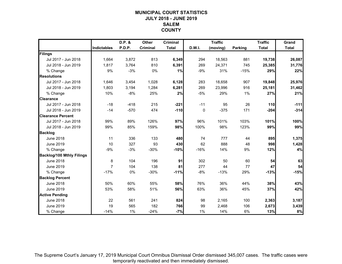### **MUNICIPAL COURT STATISTICSJULY 2018 - JUNE 2019SALEMCOUNTY**

|                                  |                    | D.P. & | <b>Other</b>    | <b>Criminal</b> |        | <b>Traffic</b> |         | <b>Traffic</b> | Grand        |
|----------------------------------|--------------------|--------|-----------------|-----------------|--------|----------------|---------|----------------|--------------|
|                                  | <b>Indictables</b> | P.D.P. | <b>Criminal</b> | <b>Total</b>    | D.W.I. | (moving)       | Parking | <b>Total</b>   | <b>Total</b> |
| Filings                          |                    |        |                 |                 |        |                |         |                |              |
| Jul 2017 - Jun 2018              | 1,664              | 3,872  | 813             | 6,349           | 294    | 18,563         | 881     | 19,738         | 26,087       |
| Jul 2018 - Jun 2019              | 1,817              | 3,764  | 810             | 6,391           | 269    | 24,371         | 745     | 25,385         | 31,776       |
| % Change                         | 9%                 | $-3%$  | 0%              | 1%              | $-9%$  | 31%            | $-15%$  | 29%            | 22%          |
| <b>Resolutions</b>               |                    |        |                 |                 |        |                |         |                |              |
| Jul 2017 - Jun 2018              | 1,646              | 3,454  | 1,028           | 6,128           | 283    | 18,658         | 907     | 19,848         | 25,976       |
| Jul 2018 - Jun 2019              | 1,803              | 3,194  | 1,284           | 6,281           | 269    | 23,996         | 916     | 25,181         | 31,462       |
| % Change                         | 10%                | $-8%$  | 25%             | 2%              | $-5%$  | 29%            | 1%      | 27%            | 21%          |
| <b>Clearance</b>                 |                    |        |                 |                 |        |                |         |                |              |
| Jul 2017 - Jun 2018              | $-18$              | $-418$ | 215             | $-221$          | $-11$  | 95             | 26      | 110            | $-111$       |
| Jul 2018 - Jun 2019              | $-14$              | $-570$ | 474             | $-110$          | 0      | $-375$         | 171     | $-204$         | $-314$       |
| <b>Clearance Percent</b>         |                    |        |                 |                 |        |                |         |                |              |
| Jul 2017 - Jun 2018              | 99%                | 89%    | 126%            | 97%             | 96%    | 101%           | 103%    | 101%           | 100%         |
| Jul 2018 - Jun 2019              | 99%                | 85%    | 159%            | 98%             | 100%   | 98%            | 123%    | 99%            | 99%          |
| <b>Backlog</b>                   |                    |        |                 |                 |        |                |         |                |              |
| <b>June 2018</b>                 | 11                 | 336    | 133             | 480             | 74     | 777            | 44      | 895            | 1,375        |
| June 2019                        | 10                 | 327    | 93              | 430             | 62     | 888            | 48      | 998            | 1,428        |
| % Change                         | $-9%$              | $-3%$  | $-30%$          | $-10%$          | $-16%$ | 14%            | 9%      | 12%            | 4%           |
| <b>Backlog/100 Mthly Filings</b> |                    |        |                 |                 |        |                |         |                |              |
| <b>June 2018</b>                 | 8                  | 104    | 196             | 91              | 302    | 50             | 60      | 54             | 63           |
| June 2019                        | $\overline{7}$     | 104    | 138             | 81              | 277    | 44             | 77      | 47             | 54           |
| % Change                         | $-17%$             | 0%     | $-30%$          | $-11%$          | $-8%$  | $-13%$         | 29%     | $-13%$         | $-15%$       |
| <b>Backlog Percent</b>           |                    |        |                 |                 |        |                |         |                |              |
| <b>June 2018</b>                 | 50%                | 60%    | 55%             | 58%             | 76%    | 36%            | 44%     | 38%            | 43%          |
| <b>June 2019</b>                 | 53%                | 58%    | 51%             | 56%             | 63%    | 36%            | 45%     | 37%            | 42%          |
| <b>Active Pending</b>            |                    |        |                 |                 |        |                |         |                |              |
| <b>June 2018</b>                 | 22                 | 561    | 241             | 824             | 98     | 2,165          | 100     | 2,363          | 3,187        |
| June 2019                        | 19                 | 565    | 182             | 766             | 99     | 2,468          | 106     | 2,673          | 3,439        |
| % Change                         | $-14%$             | 1%     | $-24%$          | $-7%$           | 1%     | 14%            | 6%      | 13%            | 8%           |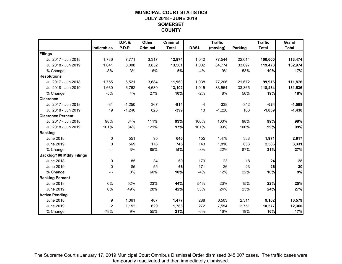### **MUNICIPAL COURT STATISTICSJULY 2018 - JUNE 2019SOMERSETCOUNTY**

|                                  |                    | D.P. &   | Other           | <b>Criminal</b> |        | <b>Traffic</b> |                | <b>Traffic</b> | Grand        |
|----------------------------------|--------------------|----------|-----------------|-----------------|--------|----------------|----------------|----------------|--------------|
|                                  | <b>Indictables</b> | P.D.P.   | <b>Criminal</b> | <b>Total</b>    | D.W.I. | (moving)       | <b>Parking</b> | <b>Total</b>   | <b>Total</b> |
| Filings                          |                    |          |                 |                 |        |                |                |                |              |
| Jul 2017 - Jun 2018              | 1,786              | 7,771    | 3,317           | 12,874          | 1,042  | 77,544         | 22,014         | 100,600        | 113,474      |
| Jul 2018 - Jun 2019              | 1.641              | 8,008    | 3,852           | 13,501          | 1,002  | 84,774         | 33,697         | 119,473        | 132,974      |
| % Change                         | $-8%$              | 3%       | 16%             | 5%              | $-4%$  | 9%             | 53%            | 19%            | 17%          |
| <b>Resolutions</b>               |                    |          |                 |                 |        |                |                |                |              |
| Jul 2017 - Jun 2018              | 1,755              | 6,521    | 3,684           | 11,960          | 1,038  | 77,206         | 21,672         | 99,916         | 111,876      |
| Jul 2018 - Jun 2019              | 1,660              | 6,762    | 4,680           | 13,102          | 1,015  | 83,554         | 33,865         | 118,434        | 131,536      |
| % Change                         | $-5%$              | 4%       | 27%             | 10%             | $-2%$  | 8%             | 56%            | 19%            | 18%          |
| <b>Clearance</b>                 |                    |          |                 |                 |        |                |                |                |              |
| Jul 2017 - Jun 2018              | $-31$              | $-1,250$ | 367             | $-914$          | $-4$   | $-338$         | $-342$         | $-684$         | $-1,598$     |
| Jul 2018 - Jun 2019              | 19                 | $-1,246$ | 828             | $-399$          | 13     | $-1,220$       | 168            | $-1,039$       | $-1,438$     |
| <b>Clearance Percent</b>         |                    |          |                 |                 |        |                |                |                |              |
| Jul 2017 - Jun 2018              | 98%                | 84%      | 111%            | 93%             | 100%   | 100%           | 98%            | 99%            | 99%          |
| Jul 2018 - Jun 2019              | 101%               | 84%      | 121%            | 97%             | 101%   | 99%            | 100%           | 99%            | 99%          |
| <b>Backlog</b>                   |                    |          |                 |                 |        |                |                |                |              |
| <b>June 2018</b>                 | $\mathbf 0$        | 551      | 95              | 646             | 155    | 1,478          | 338            | 1,971          | 2,617        |
| <b>June 2019</b>                 | 0                  | 569      | 176             | 745             | 143    | 1,810          | 633            | 2,586          | 3,331        |
| % Change                         |                    | 3%       | 85%             | 15%             | $-8%$  | 22%            | 87%            | 31%            | 27%          |
| <b>Backlog/100 Mthly Filings</b> |                    |          |                 |                 |        |                |                |                |              |
| <b>June 2018</b>                 | $\mathbf 0$        | 85       | 34              | 60              | 179    | 23             | 18             | 24             | 28           |
| <b>June 2019</b>                 | $\Omega$           | 85       | 55              | 66              | 171    | 26             | 23             | 26             | 30           |
| % Change                         |                    | 0%       | 60%             | 10%             | $-4%$  | 12%            | 22%            | 10%            | 9%           |
| <b>Backlog Percent</b>           |                    |          |                 |                 |        |                |                |                |              |
| <b>June 2018</b>                 | 0%                 | 52%      | 23%             | 44%             | 54%    | 23%            | 15%            | 22%            | 25%          |
| <b>June 2019</b>                 | 0%                 | 49%      | 28%             | 42%             | 53%    | 24%            | 23%            | 24%            | 27%          |
| <b>Active Pending</b>            |                    |          |                 |                 |        |                |                |                |              |
| <b>June 2018</b>                 | 9                  | 1,061    | 407             | 1,477           | 288    | 6,503          | 2,311          | 9,102          | 10,579       |
| <b>June 2019</b>                 | $\overline{2}$     | 1,152    | 629             | 1,783           | 272    | 7,554          | 2,751          | 10,577         | 12,360       |
| % Change                         | $-78%$             | 9%       | 55%             | 21%             | $-6%$  | 16%            | 19%            | 16%            | 17%          |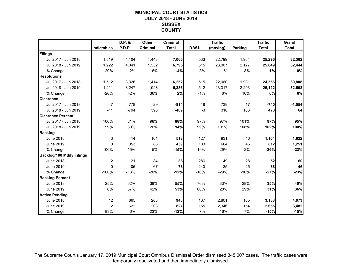### **MUNICIPAL COURT STATISTICSJULY 2018 - JUNE 2019SUSSEXCOUNTY**

|                                  |                | D.P. & | Other           | <b>Criminal</b> |        | <b>Traffic</b> |                | <b>Traffic</b> | Grand        |
|----------------------------------|----------------|--------|-----------------|-----------------|--------|----------------|----------------|----------------|--------------|
|                                  | Indictables    | P.D.P. | <b>Criminal</b> | <b>Total</b>    | D.W.I. | (moving)       | <b>Parking</b> | <b>Total</b>   | <b>Total</b> |
| Filings                          |                |        |                 |                 |        |                |                |                |              |
| Jul 2017 - Jun 2018              | 1,519          | 4,104  | 1,443           | 7,066           | 533    | 22,799         | 1,964          | 25,296         | 32,362       |
| Jul 2018 - Jun 2019              | 1,222          | 4,041  | 1,532           | 6,795           | 515    | 23,007         | 2,127          | 25,649         | 32,444       |
| % Change                         | $-20%$         | $-2%$  | 6%              | $-4%$           | $-3%$  | 1%             | 8%             | 1%             | 0%           |
| <b>Resolutions</b>               |                |        |                 |                 |        |                |                |                |              |
| Jul 2017 - Jun 2018              | 1,512          | 3,326  | 1,414           | 6,252           | 515    | 22,060         | 1,981          | 24,556         | 30,808       |
| Jul 2018 - Jun 2019              | 1,211          | 3,247  | 1,928           | 6,386           | 512    | 23,317         | 2,293          | 26,122         | 32,508       |
| % Change                         | $-20%$         | $-2%$  | 36%             | 2%              | $-1%$  | 6%             | 16%            | 6%             | 6%           |
| <b>Clearance</b>                 |                |        |                 |                 |        |                |                |                |              |
| Jul 2017 - Jun 2018              | $-7$           | $-778$ | $-29$           | $-814$          | $-18$  | $-739$         | 17             | $-740$         | $-1,554$     |
| Jul 2018 - Jun 2019              | $-11$          | $-794$ | 396             | $-409$          | $-3$   | 310            | 166            | 473            | 64           |
| <b>Clearance Percent</b>         |                |        |                 |                 |        |                |                |                |              |
| Jul 2017 - Jun 2018              | 100%           | 81%    | 98%             | 88%             | 97%    | 97%            | 101%           | 97%            | 95%          |
| Jul 2018 - Jun 2019              | 99%            | 80%    | 126%            | 94%             | 99%    | 101%           | 108%           | 102%           | 100%         |
| <b>Backlog</b>                   |                |        |                 |                 |        |                |                |                |              |
| <b>June 2018</b>                 | 3              | 414    | 101             | 518             | 127    | 931            | 46             | 1,104          | 1,622        |
| <b>June 2019</b>                 | $\Omega$       | 353    | 86              | 439             | 103    | 664            | 45             | 812            | 1,251        |
| % Change                         | $-100%$        | $-15%$ | $-15%$          | $-15%$          | $-19%$ | $-29%$         | $-2%$          | $-26%$         | $-23%$       |
| <b>Backlog/100 Mthly Filings</b> |                |        |                 |                 |        |                |                |                |              |
| <b>June 2018</b>                 | $\overline{c}$ | 121    | 84              | 88              | 286    | 49             | 28             | 52             | 60           |
| June 2019                        | $\Omega$       | 105    | 67              | 78              | 240    | 35             | 25             | 38             | 46           |
| % Change                         | $-100%$        | $-13%$ | $-20%$          | $-12%$          | $-16%$ | $-29%$         | $-10%$         | $-27%$         | $-23%$       |
| <b>Backlog Percent</b>           |                |        |                 |                 |        |                |                |                |              |
| <b>June 2018</b>                 | 25%            | 62%    | 38%             | 55%             | 76%    | 33%            | 28%            | 35%            | 40%          |
| <b>June 2019</b>                 | 0%             | 57%    | 42%             | 53%             | 66%    | 28%            | 29%            | 31%            | 36%          |
| <b>Active Pending</b>            |                |        |                 |                 |        |                |                |                |              |
| <b>June 2018</b>                 | 12             | 665    | 263             | 940             | 167    | 2,801          | 165            | 3,133          | 4,073        |
| <b>June 2019</b>                 | $\overline{2}$ | 622    | 203             | 827             | 155    | 2,346          | 154            | 2,655          | 3,482        |
| % Change                         | $-83%$         | $-6%$  | $-23%$          | $-12%$          | $-7%$  | $-16%$         | $-7%$          | $-15%$         | $-15%$       |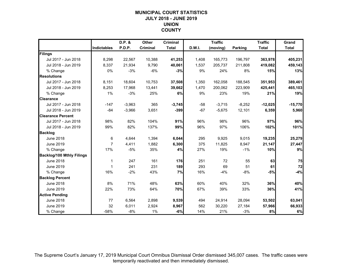### **MUNICIPAL COURT STATISTICSJULY 2018 - JUNE 2019UNIONCOUNTY**

|                                  |                    | D.P. &   | <b>Other</b>    | <b>Criminal</b> |        | <b>Traffic</b> |          | <b>Traffic</b> | Grand        |
|----------------------------------|--------------------|----------|-----------------|-----------------|--------|----------------|----------|----------------|--------------|
|                                  | <b>Indictables</b> | P.D.P.   | <b>Criminal</b> | <b>Total</b>    | D.W.I. | (moving)       | Parking  | <b>Total</b>   | <b>Total</b> |
| Filings                          |                    |          |                 |                 |        |                |          |                |              |
| Jul 2017 - Jun 2018              | 8,298              | 22,567   | 10,388          | 41,253          | 1,408  | 165,773        | 196,797  | 363,978        | 405,231      |
| Jul 2018 - Jun 2019              | 8,337              | 21,934   | 9,790           | 40,061          | 1,537  | 205,737        | 211.808  | 419,082        | 459,143      |
| % Change                         | 0%                 | $-3%$    | $-6%$           | $-3%$           | 9%     | 24%            | 8%       | 15%            | 13%          |
| <b>Resolutions</b>               |                    |          |                 |                 |        |                |          |                |              |
| Jul 2017 - Jun 2018              | 8,151              | 18,604   | 10,753          | 37,508          | 1,350  | 162,058        | 188,545  | 351,953        | 389,461      |
| Jul 2018 - Jun 2019              | 8,253              | 17,968   | 13,441          | 39,662          | 1,470  | 200,062        | 223,909  | 425,441        | 465,103      |
| % Change                         | 1%                 | $-3%$    | 25%             | 6%              | 9%     | 23%            | 19%      | 21%            | 19%          |
| <b>Clearance</b>                 |                    |          |                 |                 |        |                |          |                |              |
| Jul 2017 - Jun 2018              | $-147$             | $-3,963$ | 365             | $-3,745$        | $-58$  | $-3,715$       | $-8,252$ | $-12,025$      | $-15,770$    |
| Jul 2018 - Jun 2019              | $-84$              | $-3,966$ | 3,651           | $-399$          | $-67$  | $-5,675$       | 12,101   | 6,359          | 5,960        |
| <b>Clearance Percent</b>         |                    |          |                 |                 |        |                |          |                |              |
| Jul 2017 - Jun 2018              | 98%                | 82%      | 104%            | 91%             | 96%    | 98%            | 96%      | 97%            | 96%          |
| Jul 2018 - Jun 2019              | 99%                | 82%      | 137%            | 99%             | 96%    | 97%            | 106%     | 102%           | 101%         |
| <b>Backlog</b>                   |                    |          |                 |                 |        |                |          |                |              |
| <b>June 2018</b>                 | 6                  | 4,644    | 1,394           | 6,044           | 295    | 9,925          | 9,015    | 19,235         | 25,279       |
| June 2019                        | $\overline{7}$     | 4,411    | 1,882           | 6,300           | 375    | 11,825         | 8,947    | 21,147         | 27,447       |
| % Change                         | 17%                | $-5%$    | 35%             | 4%              | 27%    | 19%            | $-1%$    | 10%            | 9%           |
| <b>Backlog/100 Mthly Filings</b> |                    |          |                 |                 |        |                |          |                |              |
| <b>June 2018</b>                 | 1                  | 247      | 161             | 176             | 251    | 72             | 55       | 63             | 75           |
| <b>June 2019</b>                 | 1                  | 241      | 231             | 189             | 293    | 69             | 51       | 61             | 72           |
| % Change                         | 16%                | $-2%$    | 43%             | 7%              | 16%    | $-4%$          | $-8%$    | $-5%$          | $-4%$        |
| <b>Backlog Percent</b>           |                    |          |                 |                 |        |                |          |                |              |
| <b>June 2018</b>                 | 8%                 | 71%      | 48%             | 63%             | 60%    | 40%            | 32%      | 36%            | 40%          |
| June 2019                        | 22%                | 73%      | 64%             | 70%             | 67%    | 39%            | 33%      | 36%            | 41%          |
| <b>Active Pending</b>            |                    |          |                 |                 |        |                |          |                |              |
| <b>June 2018</b>                 | 77                 | 6,564    | 2,898           | 9,539           | 494    | 24,914         | 28,094   | 53,502         | 63,041       |
| <b>June 2019</b>                 | 32                 | 6,011    | 2,924           | 8,967           | 562    | 30,220         | 27,184   | 57,966         | 66,933       |
| % Change                         | $-58%$             | $-8%$    | 1%              | $-6%$           | 14%    | 21%            | $-3%$    | 8%             | 6%           |